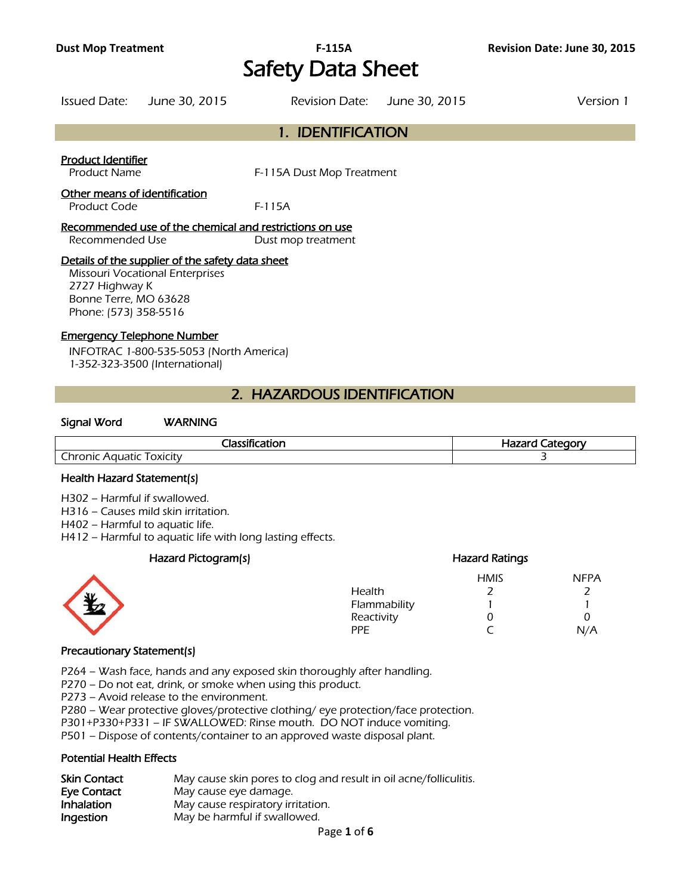# **Dust Mop Treatment F-115A Revision Date: June 30, 2015**  Safety Data Sheet

| <b>Issued Date:</b> | June 30, 2015 | Revision Date: June 30, 2015 | Version 1 |
|---------------------|---------------|------------------------------|-----------|
|                     |               |                              |           |

## 1. IDENTIFICATION

#### Product Identifier

Product Name F-115A Dust Mop Treatment

## Other means of identification

Product Code F-115A

## Recommended use of the chemical and restrictions on use Recommended Use Dust mop treatment

## Details of the supplier of the safety data sheet

Missouri Vocational Enterprises 2727 Highway K Bonne Terre, MO 63628 Phone: (573) 358-5516

## Emergency Telephone Number

INFOTRAC 1-800-535-5053 (North America) 1-352-323-3500 (International)

## 2. HAZARDOUS IDENTIFICATION

#### Signal Word WARNING

| --<br>$\blacksquare$<br>-10                               | ` <sub>ີ</sub> າດໜ<br>コつつては<br><b>етн</b> |  |
|-----------------------------------------------------------|-------------------------------------------|--|
| $\overline{\phantom{a}}$<br>_hronic<br>Aguatic<br>OXICITV |                                           |  |
|                                                           |                                           |  |

#### Health Hazard Statement(s)

H302 – Harmful if swallowed.

H316 – Causes mild skin irritation.

H402 – Harmful to aquatic life.

H412 – Harmful to aquatic life with long lasting effects.

## Hazard Pictogram(s) Hazard Ratings

| <b>AK</b> | Health<br>Flammability<br>Reactivity | <b>HMIS</b> | <b>NFPA</b> |
|-----------|--------------------------------------|-------------|-------------|
|           | <b>PPE</b>                           |             | N/A         |

#### Precautionary Statement(s)

P264 – Wash face, hands and any exposed skin thoroughly after handling.

P270 – Do not eat, drink, or smoke when using this product.

P273 – Avoid release to the environment.

P280 – Wear protective gloves/protective clothing/ eye protection/face protection.

P301+P330+P331 – IF SWALLOWED: Rinse mouth. DO NOT induce vomiting.

P501 – Dispose of contents/container to an approved waste disposal plant.

## Potential Health Effects

| <b>Skin Contact</b> | May cause skin pores to clog and result in oil acne/folliculitis. |
|---------------------|-------------------------------------------------------------------|
| Eye Contact         | May cause eye damage.                                             |
| <b>Inhalation</b>   | May cause respiratory irritation.                                 |
| Ingestion           | May be harmful if swallowed.                                      |
|                     | Page 1 of 6                                                       |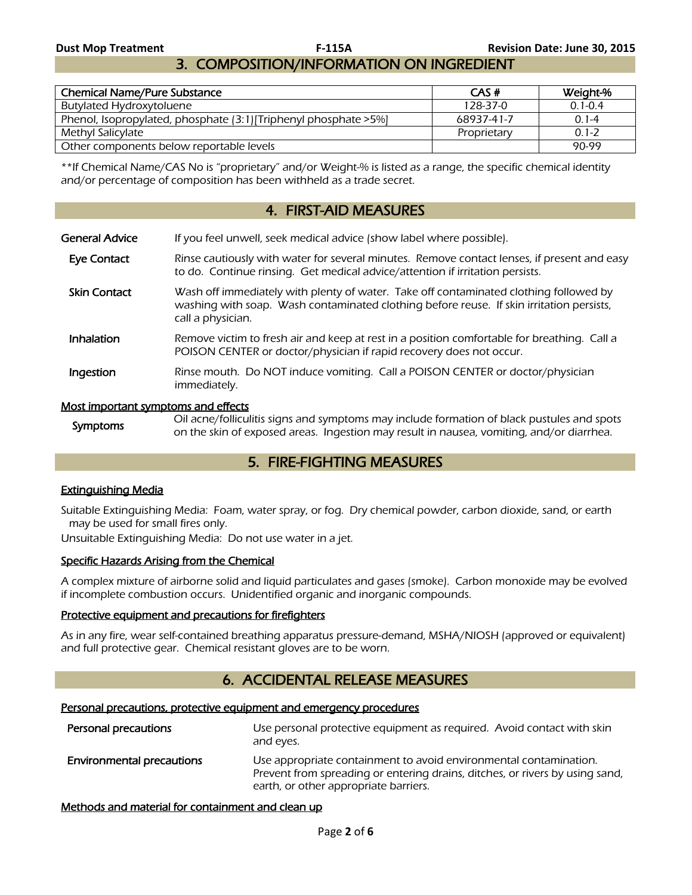# 3. COMPOSITION/INFORMATION ON INGREDIENT

| <b>Chemical Name/Pure Substance</b>                               | CAS#        | Weight-%    |
|-------------------------------------------------------------------|-------------|-------------|
| Butylated Hydroxytoluene                                          | 128-37-0    | $0.1 - 0.4$ |
| Phenol, Isopropylated, phosphate (3:1) [Triphenyl phosphate > 5%] | 68937-41-7  | $0.1 - 4$   |
| Methyl Salicylate                                                 | Proprietary | $0.1 - 2$   |
| Other components below reportable levels                          |             | 90-99       |

\*\*If Chemical Name/CAS No is "proprietary" and/or Weight-% is listed as a range, the specific chemical identity and/or percentage of composition has been withheld as a trade secret.

## 4. FIRST-AID MEASURES

General Advice If you feel unwell, seek medical advice (show label where possible).

- Eye Contact Rinse cautiously with water for several minutes. Remove contact lenses, if present and easy to do. Continue rinsing. Get medical advice/attention if irritation persists.
- Skin Contact Wash off immediately with plenty of water. Take off contaminated clothing followed by washing with soap. Wash contaminated clothing before reuse. If skin irritation persists, call a physician.
- Inhalation Remove victim to fresh air and keep at rest in a position comfortable for breathing. Call a POISON CENTER or doctor/physician if rapid recovery does not occur.
- **Ingestion** Rinse mouth. Do NOT induce vomiting. Call a POISON CENTER or doctor/physician immediately.

#### Most important symptoms and effects

Symptoms<br>Symptoms Oil acne/folliculitis signs and symptoms may include formation of black pustules and spots on the skin of exposed areas. Ingestion may result in nausea, vomiting, and/or diarrhea.

## 5. FIRE-FIGHTING MEASURES

## Extinguishing Media

Suitable Extinguishing Media: Foam, water spray, or fog. Dry chemical powder, carbon dioxide, sand, or earth may be used for small fires only.

Unsuitable Extinguishing Media: Do not use water in a jet.

## Specific Hazards Arising from the Chemical

A complex mixture of airborne solid and liquid particulates and gases (smoke). Carbon monoxide may be evolved if incomplete combustion occurs. Unidentified organic and inorganic compounds.

## Protective equipment and precautions for firefighters

As in any fire, wear self-contained breathing apparatus pressure-demand, MSHA/NIOSH (approved or equivalent) and full protective gear. Chemical resistant gloves are to be worn.

## 6. ACCIDENTAL RELEASE MEASURES

#### Personal precautions, protective equipment and emergency procedures

| Personal precautions             | Use personal protective equipment as required. Avoid contact with skin<br>and eyes.                                                                                                        |
|----------------------------------|--------------------------------------------------------------------------------------------------------------------------------------------------------------------------------------------|
| <b>Environmental precautions</b> | Use appropriate containment to avoid environmental contamination.<br>Prevent from spreading or entering drains, ditches, or rivers by using sand,<br>earth, or other appropriate barriers. |

## Methods and material for containment and clean up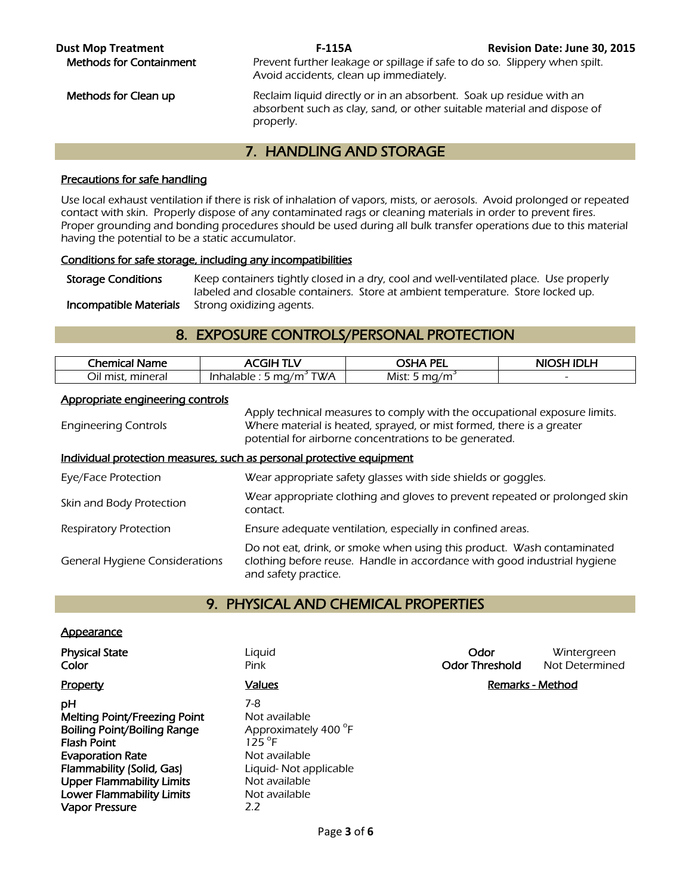**Dust Mop Treatment F-115A F-115A Revision Date: June 30, 2015**<br>**Methods for Containment Revent further leakage or spillage if safe to do so. Slippery when spilt.** Prevent further leakage or spillage if safe to do so. Slippery when spilt. Avoid accidents, clean up immediately.

Methods for Clean up **Reclaim liquid directly or in an absorbent**. Soak up residue with an absorbent such as clay, sand, or other suitable material and dispose of properly.

# 7. HANDLING AND STORAGE

## Precautions for safe handling

Use local exhaust ventilation if there is risk of inhalation of vapors, mists, or aerosols. Avoid prolonged or repeated contact with skin. Properly dispose of any contaminated rags or cleaning materials in order to prevent fires. Proper grounding and bonding procedures should be used during all bulk transfer operations due to this material having the potential to be a static accumulator.

## Conditions for safe storage, including any incompatibilities

Storage Conditions Keep containers tightly closed in a dry, cool and well-ventilated place. Use properly labeled and closable containers. Store at ambient temperature. Store locked up. **Incompatible Materials** Strong oxidizing agents.

## 8. EXPOSURE CONTROLS/PERSONAL PROTECTION

| <b>Chemical Name</b> | GIH<br>TLV.                        | 'YA PEL          | <b>NIOSH</b><br>א וחו |
|----------------------|------------------------------------|------------------|-----------------------|
| Oil mist.<br>mineral | TWA<br>ma/m<br>Inhalable : .<br>-- | Mist: 5 $ma/m^2$ |                       |
|                      |                                    |                  |                       |

## Appropriate engineering controls

| <b>Engineering Controls</b>           | Apply technical measures to comply with the occupational exposure limits.<br>Where material is heated, sprayed, or mist formed, there is a greater<br>potential for airborne concentrations to be generated. |
|---------------------------------------|--------------------------------------------------------------------------------------------------------------------------------------------------------------------------------------------------------------|
|                                       | Individual protection measures, such as personal protective equipment                                                                                                                                        |
| Eye/Face Protection                   | Wear appropriate safety glasses with side shields or goggles.                                                                                                                                                |
| Skin and Body Protection              | Wear appropriate clothing and gloves to prevent repeated or prolonged skin<br>contact.                                                                                                                       |
| Respiratory Protection                | Ensure adequate ventilation, especially in confined areas.                                                                                                                                                   |
| <b>General Hygiene Considerations</b> | Do not eat, drink, or smoke when using this product. Wash contaminated<br>clothing before reuse. Handle in accordance with good industrial hygiene<br>and safety practice.                                   |

## 9. PHYSICAL AND CHEMICAL PROPERTIES

## **Appearance**

**Color Pink** Pink **Pink Odor Threshold** Not Determined Property **Example 2 Property** Values **Values Remarks - Method pH** 7-8 Melting Point/Freezing Point Not available Boiling Point/Boiling Range **Flash Point Evaporation Rate** Not available Flammability (Solid, Gas) Liquid- Not applicable Upper Flammability Limits Not available Lower Flammability Limits Not available Vapor Pressure 2.2

Approximately 400 °F  $125^{\circ}$ F

**Physical State Liquid Community Community Community Community Community Community Community Community Community**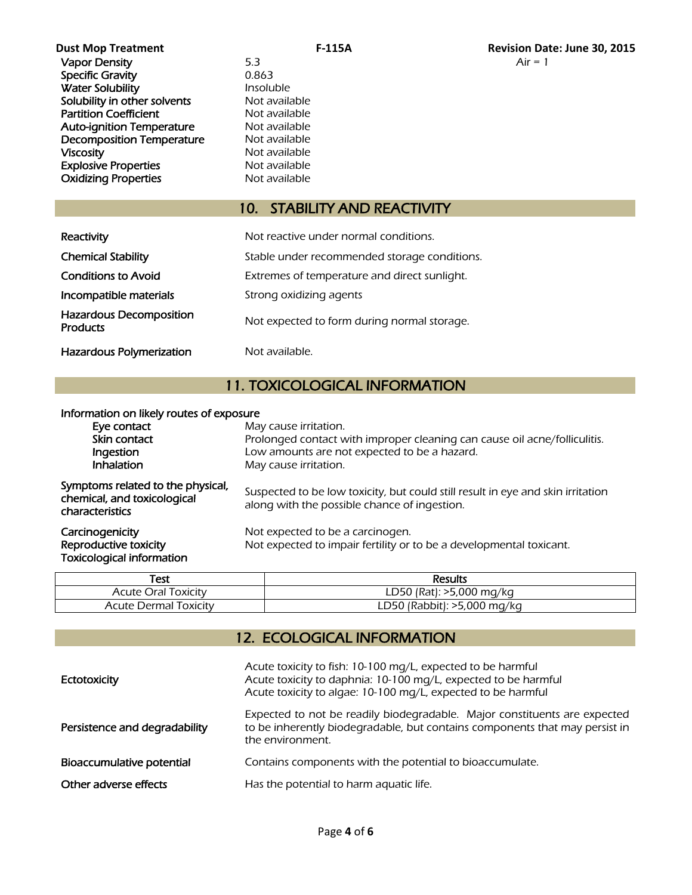| <b>Dust Mop Treatment</b>        | <b>F-115A</b>    | <b>Revision Da</b> |
|----------------------------------|------------------|--------------------|
| <b>Vapor Density</b>             | 5.3              | $Air = 1$          |
| <b>Specific Gravity</b>          | 0.863            |                    |
| <b>Water Solubility</b>          | <i>Insoluble</i> |                    |
| Solubility in other solvents     | Not available    |                    |
| <b>Partition Coefficient</b>     | Not available    |                    |
| <b>Auto-ignition Temperature</b> | Not available    |                    |
| <b>Decomposition Temperature</b> | Not available    |                    |
| <b>Viscosity</b>                 | Not available    |                    |
| <b>Explosive Properties</b>      | Not available    |                    |
| <b>Oxidizing Properties</b>      | Not available    |                    |
|                                  |                  |                    |

# 10. STABILITY AND REACTIVITY

| Reactivity                                        | Not reactive under normal conditions.        |
|---------------------------------------------------|----------------------------------------------|
| <b>Chemical Stability</b>                         | Stable under recommended storage conditions. |
| <b>Conditions to Avoid</b>                        | Extremes of temperature and direct sunlight. |
| Incompatible materials                            | Strong oxidizing agents                      |
| <b>Hazardous Decomposition</b><br><b>Products</b> | Not expected to form during normal storage.  |
| <b>Hazardous Polymerization</b>                   | Not available.                               |

# 11. TOXICOLOGICAL INFORMATION

#### Information on likely routes of exposure

| Test                  | <b>Results</b>              |
|-----------------------|-----------------------------|
| Acute Oral Toxicity   | LD50 (Rat): >5,000 mg/kg    |
| Acute Dermal Toxicity | LD50 (Rabbit): >5,000 mg/kg |

# 12. ECOLOGICAL INFORMATION

| <b>Ectotoxicity</b>           | Acute toxicity to fish: 10-100 mg/L, expected to be harmful<br>Acute toxicity to daphnia: 10-100 mg/L, expected to be harmful<br>Acute toxicity to algae: 10-100 mg/L, expected to be harmful |  |
|-------------------------------|-----------------------------------------------------------------------------------------------------------------------------------------------------------------------------------------------|--|
| Persistence and degradability | Expected to not be readily biodegradable. Major constituents are expected<br>to be inherently biodegradable, but contains components that may persist in<br>the environment.                  |  |
| Bioaccumulative potential     | Contains components with the potential to bioaccumulate.                                                                                                                                      |  |
| Other adverse effects         | Has the potential to harm aquatic life.                                                                                                                                                       |  |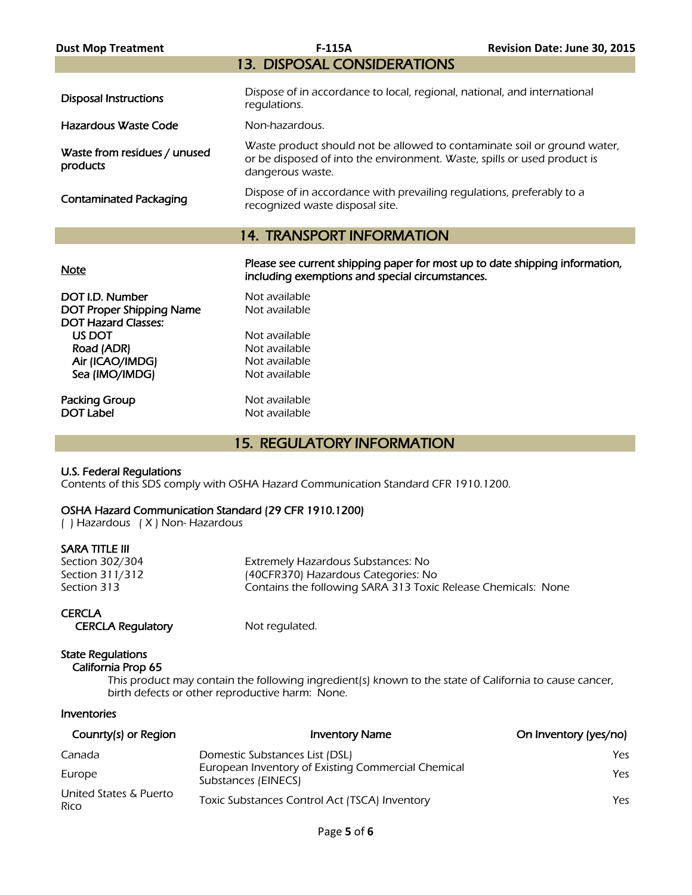| <b>Dust Mop Treatment</b>                                     | <b>F-115A</b>                                                                                                                                                            | Revision Date: June 30, 2015 |  |  |  |
|---------------------------------------------------------------|--------------------------------------------------------------------------------------------------------------------------------------------------------------------------|------------------------------|--|--|--|
| <b>13. DISPOSAL CONSIDERATIONS</b>                            |                                                                                                                                                                          |                              |  |  |  |
| <b>Disposal Instructions</b>                                  | Dispose of in accordance to local, regional, national, and international<br>regulations.                                                                                 |                              |  |  |  |
| Hazardous Waste Code                                          | Non-hazardous.                                                                                                                                                           |                              |  |  |  |
| Waste from residues / unused<br>products                      | Waste product should not be allowed to contaminate soil or ground water,<br>or be disposed of into the environment. Waste, spills or used product is<br>dangerous waste. |                              |  |  |  |
| <b>Contaminated Packaging</b>                                 | Dispose of in accordance with prevailing regulations, preferably to a<br>recognized waste disposal site.                                                                 |                              |  |  |  |
| <b>14. TRANSPORT INFORMATION</b>                              |                                                                                                                                                                          |                              |  |  |  |
| <b>Note</b>                                                   | Please see current shipping paper for most up to date shipping information,<br>including exemptions and special circumstances.                                           |                              |  |  |  |
| DOT I.D. Number                                               | Not available                                                                                                                                                            |                              |  |  |  |
| <b>DOT Proper Shipping Name</b><br><b>DOT Hazard Classes:</b> | Not available                                                                                                                                                            |                              |  |  |  |
| US DOT                                                        | Not available                                                                                                                                                            |                              |  |  |  |
| Road (ADR)                                                    | Not available                                                                                                                                                            |                              |  |  |  |

15. REGULATORY INFORMATION

## OSHA Hazard Communication Standard (29 CFR 1910.1200)

Air (ICAO/IMDG) Not available<br>
Sea (IMO/IMDG) Not available

Packing Group Not available

( ) Hazardous ( X ) Non- Hazardous

| sara title III |  |  |  |  |
|----------------|--|--|--|--|
|                |  |  |  |  |

Sea (IMO/IMDG)

U.S. Federal Regulations

Section 302/304 Extremely Hazardous Substances: No<br>Section 311/312 (40CFR370) Hazardous Categories: No (40CFR370) Hazardous Categories: No Section 313 **Section 313** Contains the following SARA 313 Toxic Release Chemicals: None

**CERCLA** CERCLA Regulatory Mot regulated.

Not available

Contents of this SDS comply with OSHA Hazard Communication Standard CFR 1910.1200.

## State Regulations

California Prop 65

 This product may contain the following ingredient(s) known to the state of California to cause cancer, birth defects or other reproductive harm: None.

**Inventories** 

| Counrty(s) or Region           | <b>Inventory Name</b>                                                     | On Inventory (yes/no) |
|--------------------------------|---------------------------------------------------------------------------|-----------------------|
| Canada                         | Domestic Substances List (DSL)                                            | Yes                   |
| Europe                         | European Inventory of Existing Commercial Chemical<br>Substances (EINECS) | Yes                   |
| United States & Puerto<br>Rico | Toxic Substances Control Act (TSCA) Inventory                             | Yes                   |